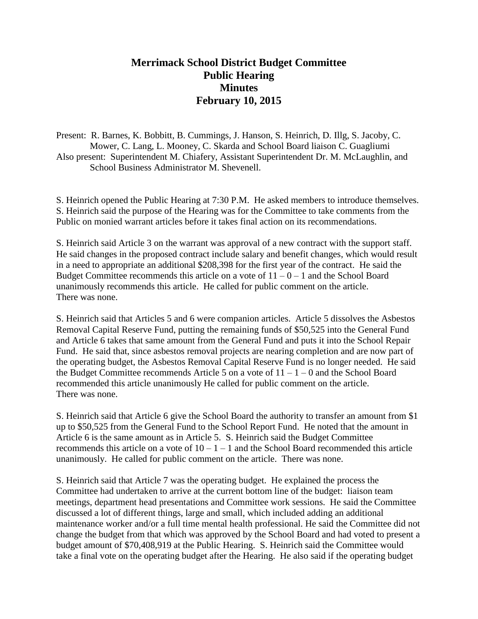## **Merrimack School District Budget Committee Public Hearing Minutes February 10, 2015**

Present: R. Barnes, K. Bobbitt, B. Cummings, J. Hanson, S. Heinrich, D. Illg, S. Jacoby, C. Mower, C. Lang, L. Mooney, C. Skarda and School Board liaison C. Guagliumi Also present: Superintendent M. Chiafery, Assistant Superintendent Dr. M. McLaughlin, and School Business Administrator M. Shevenell.

S. Heinrich opened the Public Hearing at 7:30 P.M. He asked members to introduce themselves. S. Heinrich said the purpose of the Hearing was for the Committee to take comments from the Public on monied warrant articles before it takes final action on its recommendations.

S. Heinrich said Article 3 on the warrant was approval of a new contract with the support staff. He said changes in the proposed contract include salary and benefit changes, which would result in a need to appropriate an additional \$208,398 for the first year of the contract. He said the Budget Committee recommends this article on a vote of  $11 - 0 - 1$  and the School Board unanimously recommends this article. He called for public comment on the article. There was none.

S. Heinrich said that Articles 5 and 6 were companion articles. Article 5 dissolves the Asbestos Removal Capital Reserve Fund, putting the remaining funds of \$50,525 into the General Fund and Article 6 takes that same amount from the General Fund and puts it into the School Repair Fund. He said that, since asbestos removal projects are nearing completion and are now part of the operating budget, the Asbestos Removal Capital Reserve Fund is no longer needed. He said the Budget Committee recommends Article 5 on a vote of  $11 - 1 - 0$  and the School Board recommended this article unanimously He called for public comment on the article. There was none.

S. Heinrich said that Article 6 give the School Board the authority to transfer an amount from \$1 up to \$50,525 from the General Fund to the School Report Fund. He noted that the amount in Article 6 is the same amount as in Article 5. S. Heinrich said the Budget Committee recommends this article on a vote of  $10 - 1 - 1$  and the School Board recommended this article unanimously. He called for public comment on the article. There was none.

S. Heinrich said that Article 7 was the operating budget. He explained the process the Committee had undertaken to arrive at the current bottom line of the budget: liaison team meetings, department head presentations and Committee work sessions. He said the Committee discussed a lot of different things, large and small, which included adding an additional maintenance worker and/or a full time mental health professional. He said the Committee did not change the budget from that which was approved by the School Board and had voted to present a budget amount of \$70,408,919 at the Public Hearing. S. Heinrich said the Committee would take a final vote on the operating budget after the Hearing. He also said if the operating budget